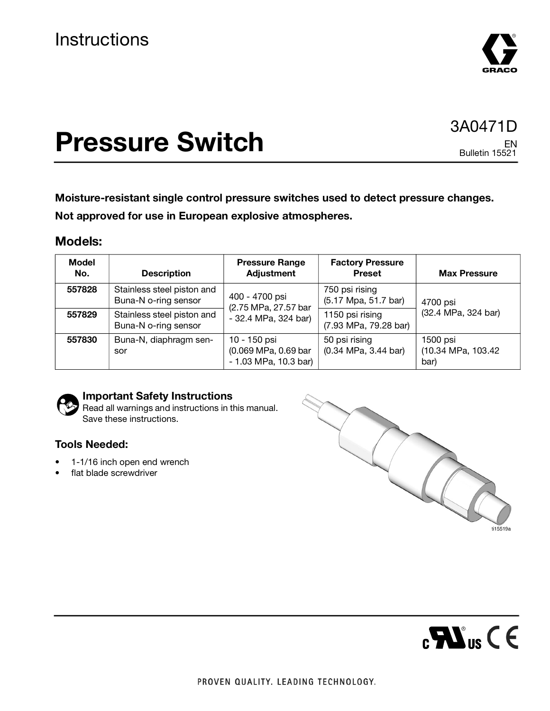

# **Pressure Switch**

### 3A0471D EN Bulletin 15521

**Moisture-resistant single control pressure switches used to detect pressure changes. Not approved for use in European explosive atmospheres.**

### **Models:**

| <b>Model</b><br>No. | <b>Description</b>                                 | <b>Pressure Range</b><br><b>Adjustment</b>                     | <b>Factory Pressure</b><br><b>Preset</b>                | <b>Max Pressure</b>                     |
|---------------------|----------------------------------------------------|----------------------------------------------------------------|---------------------------------------------------------|-----------------------------------------|
| 557828              | Stainless steel piston and<br>Buna-N o-ring sensor | 400 - 4700 psi<br>(2.75 MPa, 27.57 bar                         | 750 psi rising<br>(5.17 Mpa, 51.7 bar)                  | 4700 psi<br>(32.4 MPa, 324 bar)         |
| 557829              | Stainless steel piston and<br>Buna-N o-ring sensor | - 32.4 MPa, 324 bar)                                           | 1150 psi rising<br>(7.93 MPa, 79.28 bar)                |                                         |
| 557830              | Buna-N, diaphragm sen-<br>sor                      | 10 - 150 psi<br>(0.069 MPa, 0.69 bar<br>$-1.03$ MPa, 10.3 bar) | 50 psi rising<br>$(0.34 \text{ MPa}, 3.44 \text{ bar})$ | 1500 psi<br>(10.34 MPa, 103.42)<br>bar) |



### **Important Safety Instructions**

Read all warnings and instructions in this manual. Save these instructions.

### **Tools Needed:**

- 1-1/16 inch open end wrench
- flat blade screwdriver



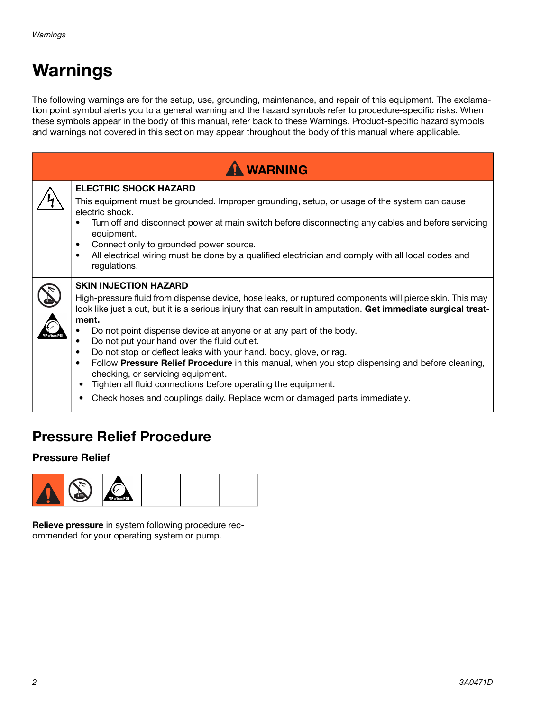# **Warnings**

The following warnings are for the setup, use, grounding, maintenance, and repair of this equipment. The exclamation point symbol alerts you to a general warning and the hazard symbols refer to procedure-specific risks. When these symbols appear in the body of this manual, refer back to these Warnings. Product-specific hazard symbols and warnings not covered in this section may appear throughout the body of this manual where applicable.

| <b>WARNING</b> |                                                                                                                                                                                                                                                                                                                                                                                                                                                                                                                                                                                                                                                                                                                                                                                        |  |  |  |
|----------------|----------------------------------------------------------------------------------------------------------------------------------------------------------------------------------------------------------------------------------------------------------------------------------------------------------------------------------------------------------------------------------------------------------------------------------------------------------------------------------------------------------------------------------------------------------------------------------------------------------------------------------------------------------------------------------------------------------------------------------------------------------------------------------------|--|--|--|
|                | <b>ELECTRIC SHOCK HAZARD</b><br>This equipment must be grounded. Improper grounding, setup, or usage of the system can cause<br>electric shock.<br>Turn off and disconnect power at main switch before disconnecting any cables and before servicing<br>equipment.<br>Connect only to grounded power source.<br>$\bullet$<br>All electrical wiring must be done by a qualified electrician and comply with all local codes and<br>regulations.                                                                                                                                                                                                                                                                                                                                         |  |  |  |
|                | <b>SKIN INJECTION HAZARD</b><br>High-pressure fluid from dispense device, hose leaks, or ruptured components will pierce skin. This may<br>look like just a cut, but it is a serious injury that can result in amputation. Get immediate surgical treat-<br>ment.<br>Do not point dispense device at anyone or at any part of the body.<br>Do not put your hand over the fluid outlet.<br>Do not stop or deflect leaks with your hand, body, glove, or rag.<br>$\bullet$<br>Follow Pressure Relief Procedure in this manual, when you stop dispensing and before cleaning,<br>$\bullet$<br>checking, or servicing equipment.<br>Tighten all fluid connections before operating the equipment.<br>٠<br>Check hoses and couplings daily. Replace worn or damaged parts immediately.<br>٠ |  |  |  |

### **Pressure Relief Procedure**

### **Pressure Relief**



**Relieve pressure** in system following procedure recommended for your operating system or pump.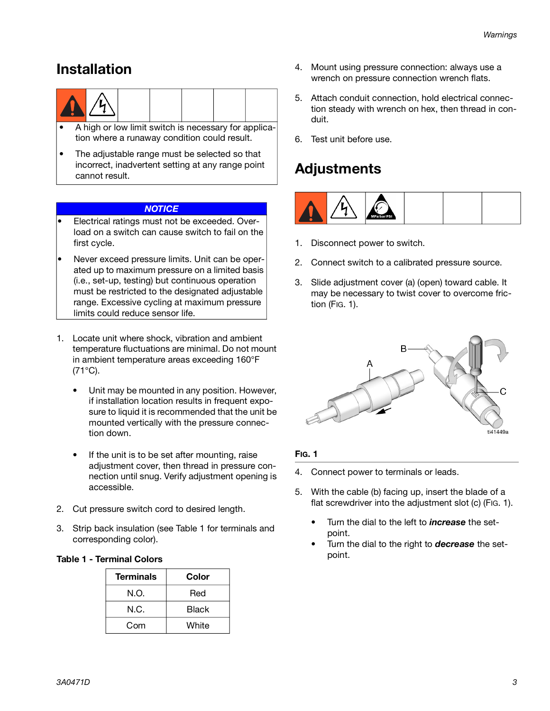### **Installation**



- A high or low limit switch is necessary for application where a runaway condition could result.
- The adjustable range must be selected so that incorrect, inadvertent setting at any range point cannot result.

### **NOTICE**

- Electrical ratings must not be exceeded. Overload on a switch can cause switch to fail on the first cycle.
- Never exceed pressure limits. Unit can be operated up to maximum pressure on a limited basis (i.e., set-up, testing) but continuous operation must be restricted to the designated adjustable range. Excessive cycling at maximum pressure limits could reduce sensor life.
- 1. Locate unit where shock, vibration and ambient temperature fluctuations are minimal. Do not mount in ambient temperature areas exceeding 160°F  $(71^{\circ}C)$ .
	- Unit may be mounted in any position. However, if installation location results in frequent exposure to liquid it is recommended that the unit be mounted vertically with the pressure connection down.
	- If the unit is to be set after mounting, raise adjustment cover, then thread in pressure connection until snug. Verify adjustment opening is accessible.
- 2. Cut pressure switch cord to desired length.
- 3. Strip back insulation (see Table 1 for terminals and corresponding color).

#### **Table 1 - Terminal Colors**

| <b>Terminals</b> | Color |
|------------------|-------|
| N.O.             | Red   |
| N.C.             | Black |
| Com              | White |

- 4. Mount using pressure connection: always use a wrench on pressure connection wrench flats.
- 5. Attach conduit connection, hold electrical connection steady with wrench on hex, then thread in conduit.
- 6. Test unit before use.

### **Adjustments**



- 1. Disconnect power to switch.
- 2. Connect switch to a calibrated pressure source.
- 3. Slide adjustment cover (a) (open) toward cable. It may be necessary to twist cover to overcome friction ([FIG. 1\)](#page-2-0).



### <span id="page-2-0"></span>**FIG. 1**

- 4. Connect power to terminals or leads.
- 5. With the cable (b) facing up, insert the blade of a flat screwdriver into the adjustment slot (c) ([FIG. 1\)](#page-2-0).
	- Turn the dial to the left to **increase** the setpoint.
	- Turn the dial to the right to **decrease** the setpoint.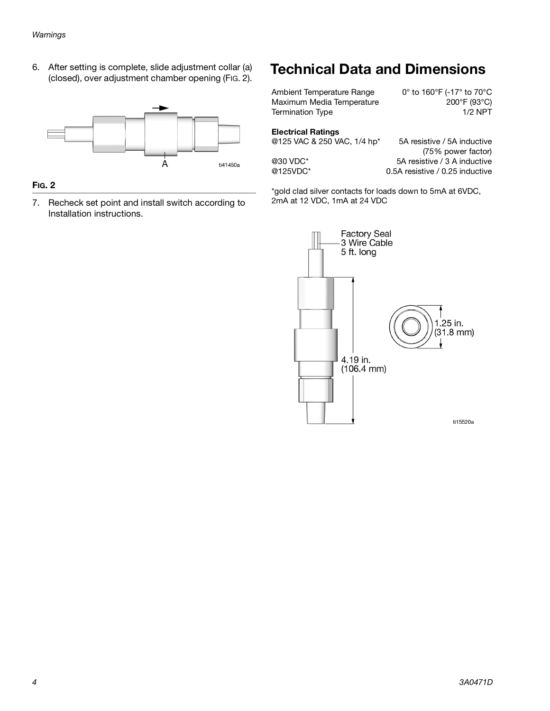6. After setting is complete, slide adjustment collar (a) (closed), over adjustment chamber opening ([FIG. 2\)](#page-3-0).



### <span id="page-3-0"></span>**FIG. 2**

7. Recheck set point and install switch according to Installation instructions.

### **Technical Data and Dimensions**

Ambient Temperature Range 0° to 160°F (-17° to 70°C<br>Maximum Media Temperature 200°F (93°C) Maximum Media Temperature Termination Type 1/2 NPT

#### **Electrical Ratings**

@125 VAC & 250 VAC, 1/4 hp<sup>\*</sup> 5A resistive / 5A inductive

(75% power factor) @30 VDC\* 5A resistive / 3 A inductive @125VDC\* 0.5A resistive / 0.25 inductive

\*gold clad silver contacts for loads down to 5mA at 6VDC, 2mA at 12 VDC, 1mA at 24 VDC

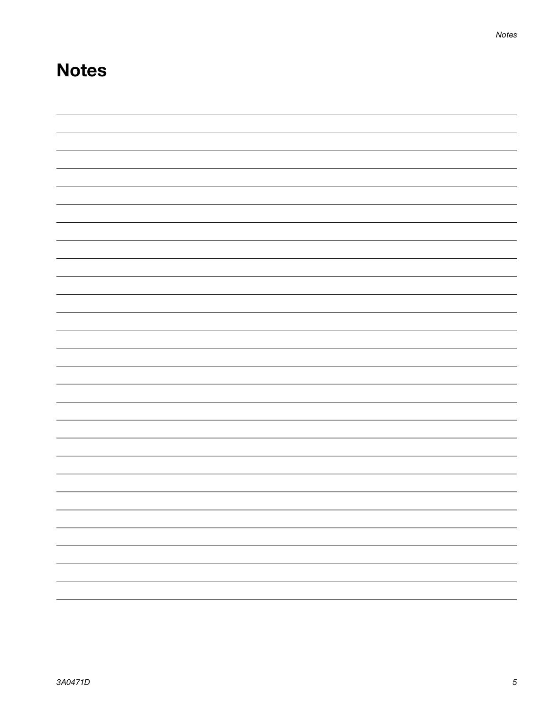# **Notes**